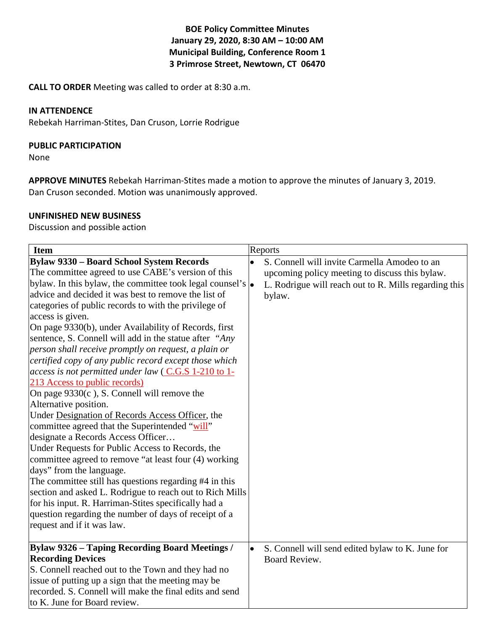## **BOE Policy Committee Minutes January 29, 2020, 8:30 AM – 10:00 AM Municipal Building, Conference Room 1 3 Primrose Street, Newtown, CT 06470**

**CALL TO ORDER** Meeting was called to order at 8:30 a.m.

#### **IN ATTENDENCE**

Rebekah Harriman-Stites, Dan Cruson, Lorrie Rodrigue

#### **PUBLIC PARTICIPATION**

None

**APPROVE MINUTES** Rebekah Harriman-Stites made a motion to approve the minutes of January 3, 2019. Dan Cruson seconded. Motion was unanimously approved.

#### **UNFINISHED NEW BUSINESS**

Discussion and possible action

| <b>Item</b>                                                                                                                                                                                                                                                                                                                                                                                                                                                                                                                                                                                                                                                                                                                                                                                                                                                                                                                                                                                                                                                                                                                                                                                                                                                                                      |           | Reports                                                                                                                                                           |
|--------------------------------------------------------------------------------------------------------------------------------------------------------------------------------------------------------------------------------------------------------------------------------------------------------------------------------------------------------------------------------------------------------------------------------------------------------------------------------------------------------------------------------------------------------------------------------------------------------------------------------------------------------------------------------------------------------------------------------------------------------------------------------------------------------------------------------------------------------------------------------------------------------------------------------------------------------------------------------------------------------------------------------------------------------------------------------------------------------------------------------------------------------------------------------------------------------------------------------------------------------------------------------------------------|-----------|-------------------------------------------------------------------------------------------------------------------------------------------------------------------|
| <b>Bylaw 9330 - Board School System Records</b><br>The committee agreed to use CABE's version of this<br>bylaw. In this bylaw, the committee took legal counsel's $\left  \right\rangle$<br>advice and decided it was best to remove the list of<br>categories of public records to with the privilege of<br>access is given.<br>On page 9330(b), under Availability of Records, first<br>sentence, S. Connell will add in the statue after "Any<br>person shall receive promptly on request, a plain or<br>certified copy of any public record except those which<br>access is not permitted under law (C.G.S 1-210 to 1-<br>213 Access to public records)<br>On page $9330(c)$ , S. Connell will remove the<br>Alternative position.<br>Under Designation of Records Access Officer, the<br>committee agreed that the Superintended "will"<br>designate a Records Access Officer<br>Under Requests for Public Access to Records, the<br>committee agreed to remove "at least four (4) working<br>days" from the language.<br>The committee still has questions regarding #4 in this<br>section and asked L. Rodrigue to reach out to Rich Mills<br>for his input. R. Harriman-Stites specifically had a<br>question regarding the number of days of receipt of a<br>request and if it was law. | $\bullet$ | S. Connell will invite Carmella Amodeo to an<br>upcoming policy meeting to discuss this bylaw.<br>L. Rodrigue will reach out to R. Mills regarding this<br>bylaw. |
| Bylaw 9326 – Taping Recording Board Meetings /<br><b>Recording Devices</b><br>S. Connell reached out to the Town and they had no<br>issue of putting up a sign that the meeting may be<br>recorded. S. Connell will make the final edits and send<br>to K. June for Board review.                                                                                                                                                                                                                                                                                                                                                                                                                                                                                                                                                                                                                                                                                                                                                                                                                                                                                                                                                                                                                | $\bullet$ | S. Connell will send edited bylaw to K. June for<br>Board Review.                                                                                                 |